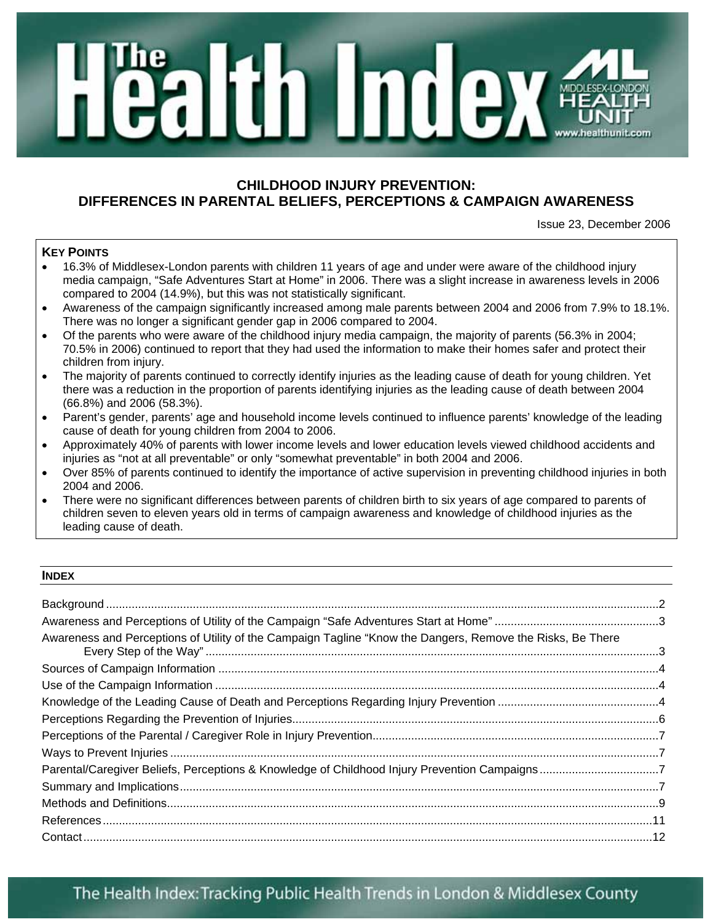# **MA**

# **CHILDHOOD INJURY PREVENTION: DIFFERENCES IN PARENTAL BELIEFS, PERCEPTIONS & CAMPAIGN AWARENESS**

Issue 23, December 2006

# **KEY POINTS**

- 16.3% of Middlesex-London parents with children 11 years of age and under were aware of the childhood injury media campaign, "Safe Adventures Start at Home" in 2006. There was a slight increase in awareness levels in 2006 compared to 2004 (14.9%), but this was not statistically significant.
- Awareness of the campaign significantly increased among male parents between 2004 and 2006 from 7.9% to 18.1%. There was no longer a significant gender gap in 2006 compared to 2004.
- Of the parents who were aware of the childhood injury media campaign, the majority of parents (56.3% in 2004; 70.5% in 2006) continued to report that they had used the information to make their homes safer and protect their children from injury.
- The majority of parents continued to correctly identify injuries as the leading cause of death for young children. Yet there was a reduction in the proportion of parents identifying injuries as the leading cause of death between 2004 (66.8%) and 2006 (58.3%).
- Parent's gender, parents' age and household income levels continued to influence parents' knowledge of the leading cause of death for young children from 2004 to 2006.
- Approximately 40% of parents with lower income levels and lower education levels viewed childhood accidents and injuries as "not at all preventable" or only "somewhat preventable" in both 2004 and 2006.
- Over 85% of parents continued to identify the importance of active supervision in preventing childhood injuries in both 2004 and 2006.
- There were no significant differences between parents of children birth to six years of age compared to parents of children seven to eleven years old in terms of campaign awareness and knowledge of childhood injuries as the leading cause of death.

### **INDEX**

| Awareness and Perceptions of Utility of the Campaign Tagline "Know the Dangers, Remove the Risks, Be There |  |
|------------------------------------------------------------------------------------------------------------|--|
|                                                                                                            |  |
|                                                                                                            |  |
|                                                                                                            |  |
|                                                                                                            |  |
|                                                                                                            |  |
|                                                                                                            |  |
|                                                                                                            |  |
|                                                                                                            |  |
|                                                                                                            |  |
|                                                                                                            |  |
|                                                                                                            |  |

# The Health Index: Tracking Public Health Trends in London & Middlesex County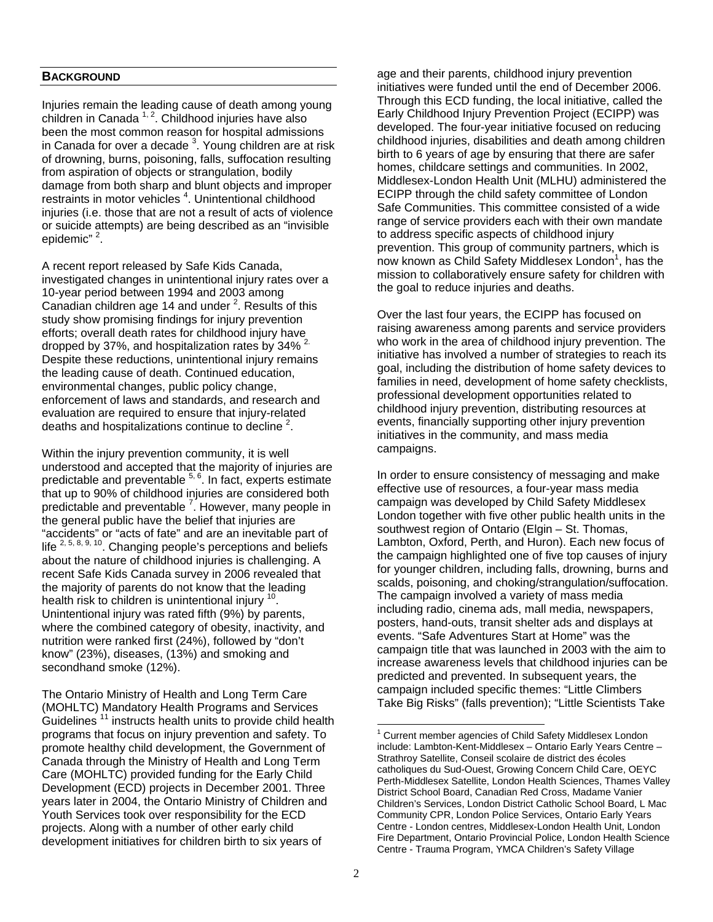### **BACKGROUND**

Injuries remain the leading cause of death among young children in Canada  $1, 2$ . Childhood injuries have also been the most common reason for hospital admissions in Canada for over a decade  $3$ . Young children are at risk of drowning, burns, poisoning, falls, suffocation resulting from aspiration of objects or strangulation, bodily damage from both sharp and blunt objects and improper restraints in motor vehicles<sup>4</sup>. Unintentional childhood injuries (i.e. those that are not a result of acts of violence or suicide attempts) are being described as an "invisible epidemic"<sup>2</sup>.

A recent report released by Safe Kids Canada, investigated changes in unintentional injury rates over a 10-year period between 1994 and 2003 among Canadian children age 14 and under  $2$ . Results of this study show promising findings for injury prevention efforts; overall death rates for childhood injury have dropped by 37%, and hospitalization rates by 34% <sup>2.</sup> Despite these reductions, unintentional injury remains the leading cause of death. Continued education, environmental changes, public policy change, enforcement of laws and standards, and research and evaluation are required to ensure that injury-related deaths and hospitalizations continue to decline  $2$ .

Within the injury prevention community, it is well understood and accepted that the majority of injuries are predictable and preventable <sup>5, 6</sup>. In fact, experts estimate that up to 90% of childhood injuries are considered both predictable and preventable <sup>7</sup>. However, many people in the general public have the belief that injuries are "accidents" or "acts of fate" and are an inevitable part of life  $^{2, 5, 8, 9, 10}$ . Changing people's perceptions and beliefs about the nature of childhood injuries is challenging. A recent Safe Kids Canada survey in 2006 revealed that the majority of parents do not know that the leading health risk to children is unintentional injury  $10$ . Unintentional injury was rated fifth (9%) by parents, where the combined category of obesity, inactivity, and nutrition were ranked first (24%), followed by "don't know" (23%), diseases, (13%) and smoking and secondhand smoke (12%).

The Ontario Ministry of Health and Long Term Care (MOHLTC) Mandatory Health Programs and Services Guidelines<sup>11</sup> instructs health units to provide child health programs that focus on injury prevention and safety. To promote healthy child development, the Government of Canada through the Ministry of Health and Long Term Care (MOHLTC) provided funding for the Early Child Development (ECD) projects in December 2001. Three years later in 2004, the Ontario Ministry of Children and Youth Services took over responsibility for the ECD projects. Along with a number of other early child development initiatives for children birth to six years of

age and their parents, childhood injury prevention initiatives were funded until the end of December 2006. Through this ECD funding, the local initiative, called the Early Childhood Injury Prevention Project (ECIPP) was developed. The four-year initiative focused on reducing childhood injuries, disabilities and death among children birth to 6 years of age by ensuring that there are safer homes, childcare settings and communities. In 2002, Middlesex-London Health Unit (MLHU) administered the ECIPP through the child safety committee of London Safe Communities. This committee consisted of a wide range of service providers each with their own mandate to address specific aspects of childhood injury prevention. This group of community partners, which is now known as Child Safety Middlesex London<sup>1</sup>, has the mission to collaboratively ensure safety for children with the goal to reduce injuries and deaths.

Over the last four years, the ECIPP has focused on raising awareness among parents and service providers who work in the area of childhood injury prevention. The initiative has involved a number of strategies to reach its goal, including the distribution of home safety devices to families in need, development of home safety checklists, professional development opportunities related to childhood injury prevention, distributing resources at events, financially supporting other injury prevention initiatives in the community, and mass media campaigns.

In order to ensure consistency of messaging and make effective use of resources, a four-year mass media campaign was developed by Child Safety Middlesex London together with five other public health units in the southwest region of Ontario (Elgin – St. Thomas, Lambton, Oxford, Perth, and Huron). Each new focus of the campaign highlighted one of five top causes of injury for younger children, including falls, drowning, burns and scalds, poisoning, and choking/strangulation/suffocation. The campaign involved a variety of mass media including radio, cinema ads, mall media, newspapers, posters, hand-outs, transit shelter ads and displays at events. "Safe Adventures Start at Home" was the campaign title that was launched in 2003 with the aim to increase awareness levels that childhood injuries can be predicted and prevented. In subsequent years, the campaign included specific themes: "Little Climbers Take Big Risks" (falls prevention); "Little Scientists Take

<sup>-</sup><sup>1</sup> Current member agencies of Child Safety Middlesex London include: Lambton-Kent-Middlesex – Ontario Early Years Centre – Strathroy Satellite, Conseil scolaire de district des écoles catholiques du Sud-Ouest, Growing Concern Child Care, OEYC Perth-Middlesex Satellite, London Health Sciences, Thames Valley District School Board, Canadian Red Cross, Madame Vanier Children's Services, London District Catholic School Board, L Mac Community CPR, London Police Services, Ontario Early Years Centre - London centres, Middlesex-London Health Unit, London Fire Department, Ontario Provincial Police, London Health Science Centre - Trauma Program, YMCA Children's Safety Village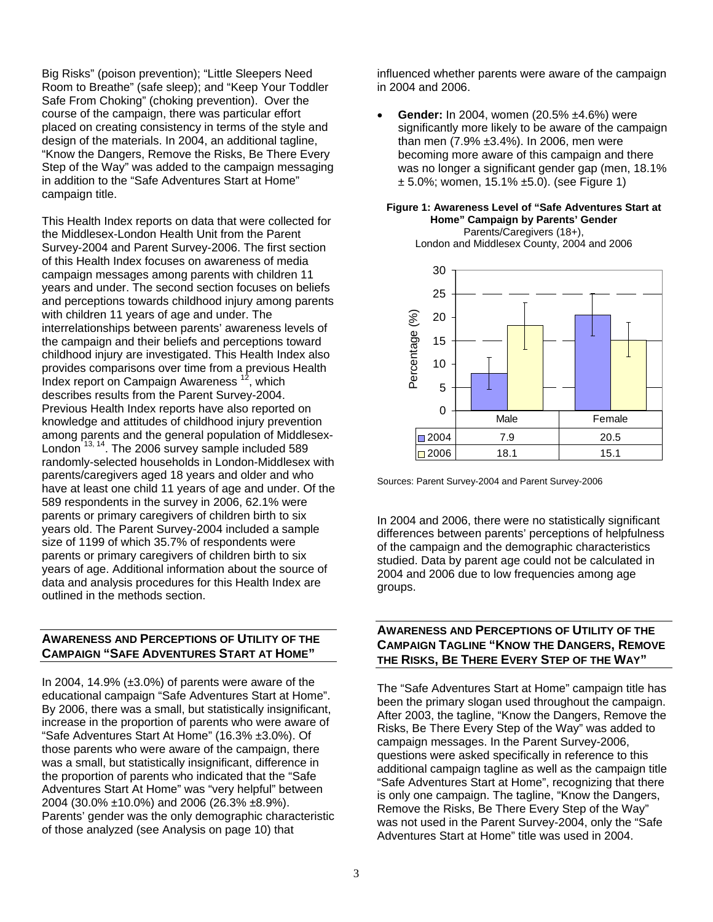Big Risks" (poison prevention); "Little Sleepers Need Room to Breathe" (safe sleep); and "Keep Your Toddler Safe From Choking" (choking prevention). Over the course of the campaign, there was particular effort placed on creating consistency in terms of the style and design of the materials. In 2004, an additional tagline, "Know the Dangers, Remove the Risks, Be There Every Step of the Way" was added to the campaign messaging in addition to the "Safe Adventures Start at Home" campaign title.

This Health Index reports on data that were collected for the Middlesex-London Health Unit from the Parent Survey-2004 and Parent Survey-2006. The first section of this Health Index focuses on awareness of media campaign messages among parents with children 11 years and under. The second section focuses on beliefs and perceptions towards childhood injury among parents with children 11 years of age and under. The interrelationships between parents' awareness levels of the campaign and their beliefs and perceptions toward childhood injury are investigated. This Health Index also provides comparisons over time from a previous Health Index report on Campaign Awareness  $^{12}$ , which describes results from the Parent Survey-2004. Previous Health Index reports have also reported on knowledge and attitudes of childhood injury prevention among parents and the general population of Middlesex-London<sup>13, 14</sup>. The 2006 survey sample included 589 randomly-selected households in London-Middlesex with parents/caregivers aged 18 years and older and who have at least one child 11 years of age and under. Of the 589 respondents in the survey in 2006, 62.1% were parents or primary caregivers of children birth to six years old. The Parent Survey-2004 included a sample size of 1199 of which 35.7% of respondents were parents or primary caregivers of children birth to six years of age. Additional information about the source of data and analysis procedures for this Health Index are outlined in the methods section.

### **AWARENESS AND PERCEPTIONS OF UTILITY OF THE CAMPAIGN "SAFE ADVENTURES START AT HOME"**

In 2004, 14.9%  $(\pm 3.0\%)$  of parents were aware of the educational campaign "Safe Adventures Start at Home". By 2006, there was a small, but statistically insignificant, increase in the proportion of parents who were aware of "Safe Adventures Start At Home" (16.3% ±3.0%). Of those parents who were aware of the campaign, there was a small, but statistically insignificant, difference in the proportion of parents who indicated that the "Safe Adventures Start At Home" was "very helpful" between 2004 (30.0% ±10.0%) and 2006 (26.3% ±8.9%). Parents' gender was the only demographic characteristic of those analyzed (see Analysis on page 10) that

influenced whether parents were aware of the campaign in 2004 and 2006.

• **Gender:** In 2004, women (20.5% ±4.6%) were significantly more likely to be aware of the campaign than men (7.9% ±3.4%). In 2006, men were becoming more aware of this campaign and there was no longer a significant gender gap (men, 18.1% ± 5.0%; women, 15.1% ±5.0). (see Figure 1)

### **Figure 1: Awareness Level of "Safe Adventures Start at Home" Campaign by Parents' Gender** Parents/Caregivers (18+),

London and Middlesex County, 2004 and 2006



Sources: Parent Survey-2004 and Parent Survey-2006

In 2004 and 2006, there were no statistically significant differences between parents' perceptions of helpfulness of the campaign and the demographic characteristics studied. Data by parent age could not be calculated in 2004 and 2006 due to low frequencies among age groups.

### **AWARENESS AND PERCEPTIONS OF UTILITY OF THE CAMPAIGN TAGLINE "KNOW THE DANGERS, REMOVE THE RISKS, BE THERE EVERY STEP OF THE WAY"**

The "Safe Adventures Start at Home" campaign title has been the primary slogan used throughout the campaign. After 2003, the tagline, "Know the Dangers, Remove the Risks, Be There Every Step of the Way" was added to campaign messages. In the Parent Survey-2006, questions were asked specifically in reference to this additional campaign tagline as well as the campaign title "Safe Adventures Start at Home", recognizing that there is only one campaign. The tagline, "Know the Dangers, Remove the Risks, Be There Every Step of the Way" was not used in the Parent Survey-2004, only the "Safe Adventures Start at Home" title was used in 2004.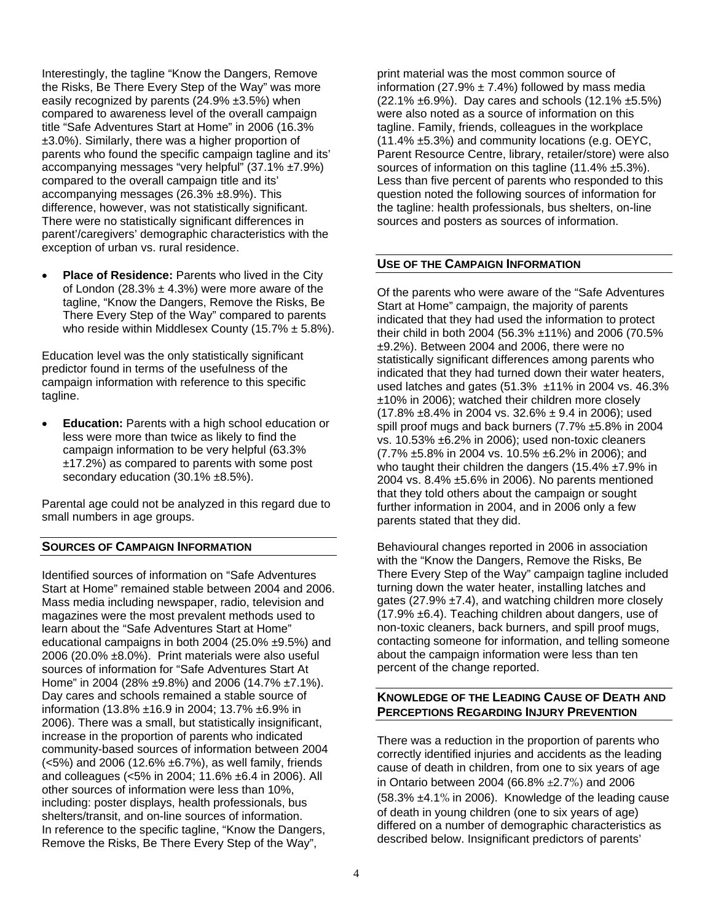Interestingly, the tagline "Know the Dangers, Remove the Risks, Be There Every Step of the Way" was more easily recognized by parents (24.9% ±3.5%) when compared to awareness level of the overall campaign title "Safe Adventures Start at Home" in 2006 (16.3% ±3.0%). Similarly, there was a higher proportion of parents who found the specific campaign tagline and its' accompanying messages "very helpful" (37.1% ±7.9%) compared to the overall campaign title and its' accompanying messages (26.3% ±8.9%). This difference, however, was not statistically significant. There were no statistically significant differences in parent'/caregivers' demographic characteristics with the exception of urban vs. rural residence.

**Place of Residence:** Parents who lived in the City of London (28.3%  $\pm$  4.3%) were more aware of the tagline, "Know the Dangers, Remove the Risks, Be There Every Step of the Way" compared to parents who reside within Middlesex County (15.7%  $\pm$  5.8%).

Education level was the only statistically significant predictor found in terms of the usefulness of the campaign information with reference to this specific tagline.

• **Education:** Parents with a high school education or less were more than twice as likely to find the campaign information to be very helpful (63.3% ±17.2%) as compared to parents with some post secondary education (30.1% ±8.5%).

Parental age could not be analyzed in this regard due to small numbers in age groups.

# **SOURCES OF CAMPAIGN INFORMATION**

Identified sources of information on "Safe Adventures Start at Home" remained stable between 2004 and 2006. Mass media including newspaper, radio, television and magazines were the most prevalent methods used to learn about the "Safe Adventures Start at Home" educational campaigns in both 2004 (25.0% ±9.5%) and 2006 (20.0% ±8.0%). Print materials were also useful sources of information for "Safe Adventures Start At Home" in 2004 (28% ±9.8%) and 2006 (14.7% ±7.1%). Day cares and schools remained a stable source of information (13.8% ±16.9 in 2004; 13.7% ±6.9% in 2006). There was a small, but statistically insignificant, increase in the proportion of parents who indicated community-based sources of information between 2004 (<5%) and 2006 (12.6% ±6.7%), as well family, friends and colleagues (<5% in 2004; 11.6% ±6.4 in 2006). All other sources of information were less than 10%, including: poster displays, health professionals, bus shelters/transit, and on-line sources of information. In reference to the specific tagline, "Know the Dangers, Remove the Risks, Be There Every Step of the Way",

print material was the most common source of information (27.9%  $\pm$  7.4%) followed by mass media  $(22.1\% \pm 6.9\%)$ . Day cares and schools  $(12.1\% \pm 5.5\%)$ were also noted as a source of information on this tagline. Family, friends, colleagues in the workplace (11.4% ±5.3%) and community locations (e.g. OEYC, Parent Resource Centre, library, retailer/store) were also sources of information on this tagline (11.4% ±5.3%). Less than five percent of parents who responded to this question noted the following sources of information for the tagline: health professionals, bus shelters, on-line sources and posters as sources of information.

# **USE OF THE CAMPAIGN INFORMATION**

Of the parents who were aware of the "Safe Adventures Start at Home" campaign, the majority of parents indicated that they had used the information to protect their child in both 2004 (56.3% ±11%) and 2006 (70.5% ±9.2%). Between 2004 and 2006, there were no statistically significant differences among parents who indicated that they had turned down their water heaters, used latches and gates (51.3% ±11% in 2004 vs. 46.3% ±10% in 2006); watched their children more closely  $(17.8\% \pm 8.4\% \text{ in } 2004 \text{ vs. } 32.6\% \pm 9.4 \text{ in } 2006);$  used spill proof mugs and back burners (7.7% ±5.8% in 2004 vs. 10.53% ±6.2% in 2006); used non-toxic cleaners (7.7% ±5.8% in 2004 vs. 10.5% ±6.2% in 2006); and who taught their children the dangers (15.4% ±7.9% in 2004 vs. 8.4% ±5.6% in 2006). No parents mentioned that they told others about the campaign or sought further information in 2004, and in 2006 only a few parents stated that they did.

Behavioural changes reported in 2006 in association with the "Know the Dangers, Remove the Risks, Be There Every Step of the Way" campaign tagline included turning down the water heater, installing latches and gates (27.9%  $\pm$ 7.4), and watching children more closely  $(17.9\% \pm 6.4)$ . Teaching children about dangers, use of non-toxic cleaners, back burners, and spill proof mugs, contacting someone for information, and telling someone about the campaign information were less than ten percent of the change reported.

# **KNOWLEDGE OF THE LEADING CAUSE OF DEATH AND PERCEPTIONS REGARDING INJURY PREVENTION**

There was a reduction in the proportion of parents who correctly identified injuries and accidents as the leading cause of death in children, from one to six years of age in Ontario between 2004 (66.8% ±2.7%) and 2006 (58.3% ±4.1% in 2006). Knowledge of the leading cause of death in young children (one to six years of age) differed on a number of demographic characteristics as described below. Insignificant predictors of parents'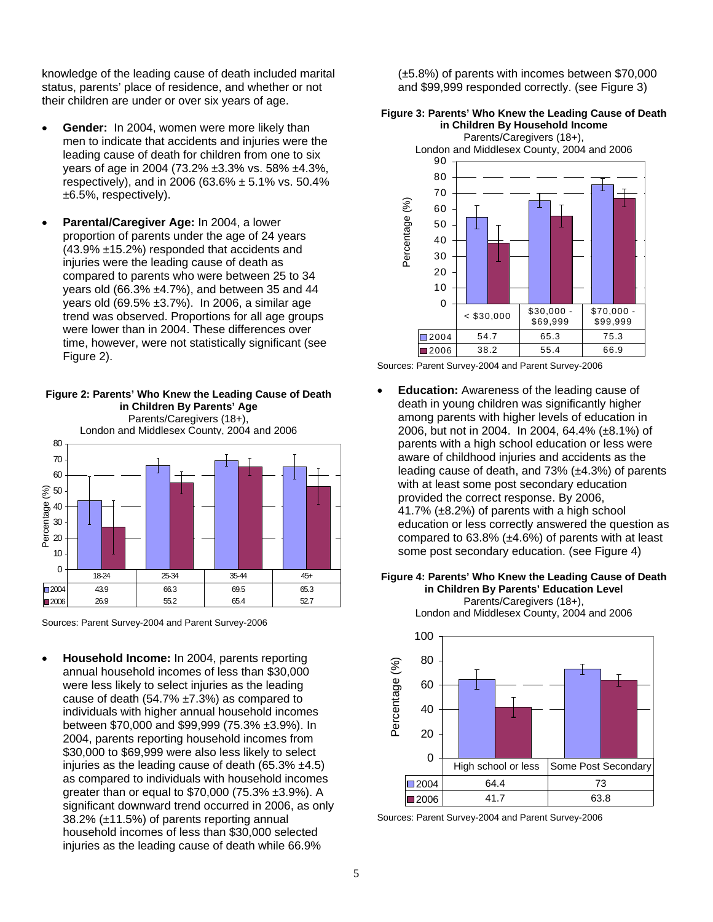knowledge of the leading cause of death included marital status, parents' place of residence, and whether or not their children are under or over six years of age.

- **Gender:** In 2004, women were more likely than men to indicate that accidents and injuries were the leading cause of death for children from one to six years of age in 2004 (73.2% ±3.3% vs. 58% ±4.3%, respectively), and in 2006 (63.6%  $\pm$  5.1% vs. 50.4% ±6.5%, respectively).
- **Parental/Caregiver Age:** In 2004, a lower proportion of parents under the age of 24 years (43.9% ±15.2%) responded that accidents and injuries were the leading cause of death as compared to parents who were between 25 to 34 years old (66.3% ±4.7%), and between 35 and 44 years old (69.5% ±3.7%). In 2006, a similar age trend was observed. Proportions for all age groups were lower than in 2004. These differences over time, however, were not statistically significant (see Figure 2).



**Figure 2: Parents' Who Knew the Leading Cause of Death**

Sources: Parent Survey-2004 and Parent Survey-2006

• **Household Income:** In 2004, parents reporting annual household incomes of less than \$30,000 were less likely to select injuries as the leading cause of death (54.7% ±7.3%) as compared to individuals with higher annual household incomes between \$70,000 and \$99,999 (75.3% ±3.9%). In 2004, parents reporting household incomes from \$30,000 to \$69,999 were also less likely to select injuries as the leading cause of death  $(65.3\% \pm 4.5)$ as compared to individuals with household incomes greater than or equal to \$70,000 (75.3% ±3.9%). A significant downward trend occurred in 2006, as only 38.2% (±11.5%) of parents reporting annual household incomes of less than \$30,000 selected injuries as the leading cause of death while 66.9%

(±5.8%) of parents with incomes between \$70,000 and \$99,999 responded correctly. (see Figure 3)

### **Figure 3: Parents' Who Knew the Leading Cause of Death in Children By Household Income** Parents/Caregivers (18+),



Sources: Parent Survey-2004 and Parent Survey-2006

**Education:** Awareness of the leading cause of death in young children was significantly higher among parents with higher levels of education in 2006, but not in 2004. In 2004, 64.4% (±8.1%) of parents with a high school education or less were aware of childhood injuries and accidents as the leading cause of death, and  $73\%$  ( $\pm 4.3\%$ ) of parents with at least some post secondary education provided the correct response. By 2006, 41.7% (±8.2%) of parents with a high school education or less correctly answered the question as compared to 63.8% (±4.6%) of parents with at least some post secondary education. (see Figure 4)



London and Middlesex County, 2004 and 2006



Sources: Parent Survey-2004 and Parent Survey-2006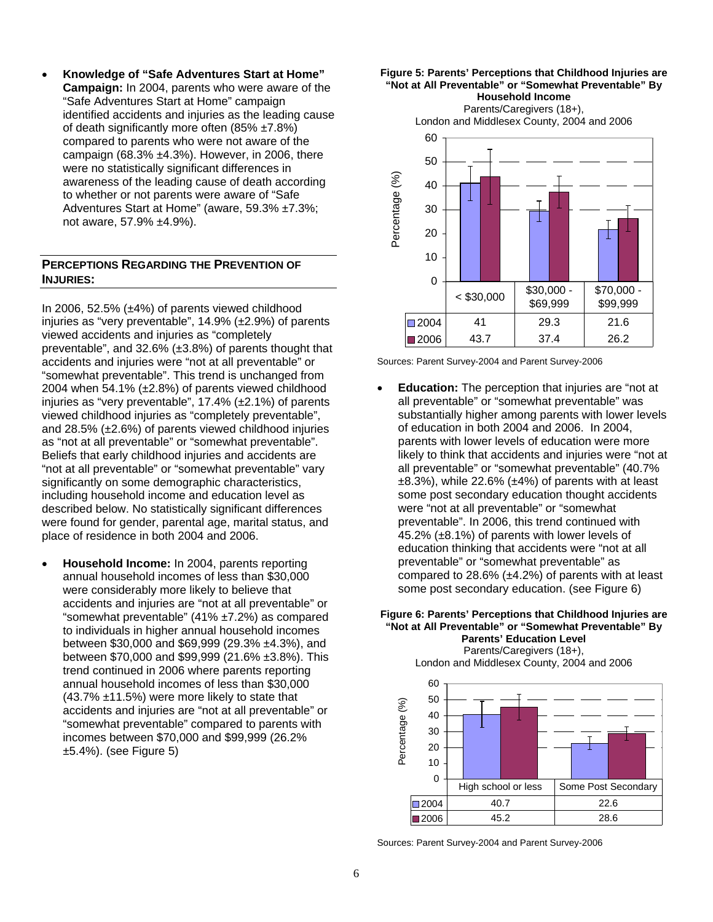• **Knowledge of "Safe Adventures Start at Home" Campaign:** In 2004, parents who were aware of the "Safe Adventures Start at Home" campaign identified accidents and injuries as the leading cause of death significantly more often (85% ±7.8%) compared to parents who were not aware of the campaign (68.3% ±4.3%). However, in 2006, there were no statistically significant differences in awareness of the leading cause of death according to whether or not parents were aware of "Safe Adventures Start at Home" (aware, 59.3% ±7.3%; not aware, 57.9% ±4.9%).

### **PERCEPTIONS REGARDING THE PREVENTION OF INJURIES:**

In 2006, 52.5% (±4%) of parents viewed childhood injuries as "very preventable", 14.9% (±2.9%) of parents viewed accidents and injuries as "completely preventable", and 32.6% (±3.8%) of parents thought that accidents and injuries were "not at all preventable" or "somewhat preventable". This trend is unchanged from 2004 when 54.1% (±2.8%) of parents viewed childhood injuries as "very preventable", 17.4% (±2.1%) of parents viewed childhood injuries as "completely preventable", and 28.5% (±2.6%) of parents viewed childhood injuries as "not at all preventable" or "somewhat preventable". Beliefs that early childhood injuries and accidents are "not at all preventable" or "somewhat preventable" vary significantly on some demographic characteristics, including household income and education level as described below. No statistically significant differences were found for gender, parental age, marital status, and place of residence in both 2004 and 2006.

• **Household Income:** In 2004, parents reporting annual household incomes of less than \$30,000 were considerably more likely to believe that accidents and injuries are "not at all preventable" or "somewhat preventable" (41% ±7.2%) as compared to individuals in higher annual household incomes between \$30,000 and \$69,999 (29.3% ±4.3%), and between \$70,000 and \$99,999 (21.6% ±3.8%). This trend continued in 2006 where parents reporting annual household incomes of less than \$30,000 (43.7% ±11.5%) were more likely to state that accidents and injuries are "not at all preventable" or "somewhat preventable" compared to parents with incomes between \$70,000 and \$99,999 (26.2% ±5.4%). (see Figure 5)

**Figure 5: Parents' Perceptions that Childhood Injuries are "Not at All Preventable" or "Somewhat Preventable" By Household Income** Parents/Caregivers (18+).

London and Middlesex County, 2004 and 2006



Sources: Parent Survey-2004 and Parent Survey-2006

**Education:** The perception that injuries are "not at all preventable" or "somewhat preventable" was substantially higher among parents with lower levels of education in both 2004 and 2006. In 2004, parents with lower levels of education were more likely to think that accidents and injuries were "not at all preventable" or "somewhat preventable" (40.7%  $\pm 8.3\%$ ), while 22.6% ( $\pm 4\%$ ) of parents with at least some post secondary education thought accidents were "not at all preventable" or "somewhat preventable". In 2006, this trend continued with 45.2% (±8.1%) of parents with lower levels of education thinking that accidents were "not at all preventable" or "somewhat preventable" as compared to 28.6% (±4.2%) of parents with at least some post secondary education. (see Figure 6)

### **Figure 6: Parents' Perceptions that Childhood Injuries are "Not at All Preventable" or "Somewhat Preventable" By Parents' Education Level** Parents/Caregivers (18+),



Sources: Parent Survey-2004 and Parent Survey-2006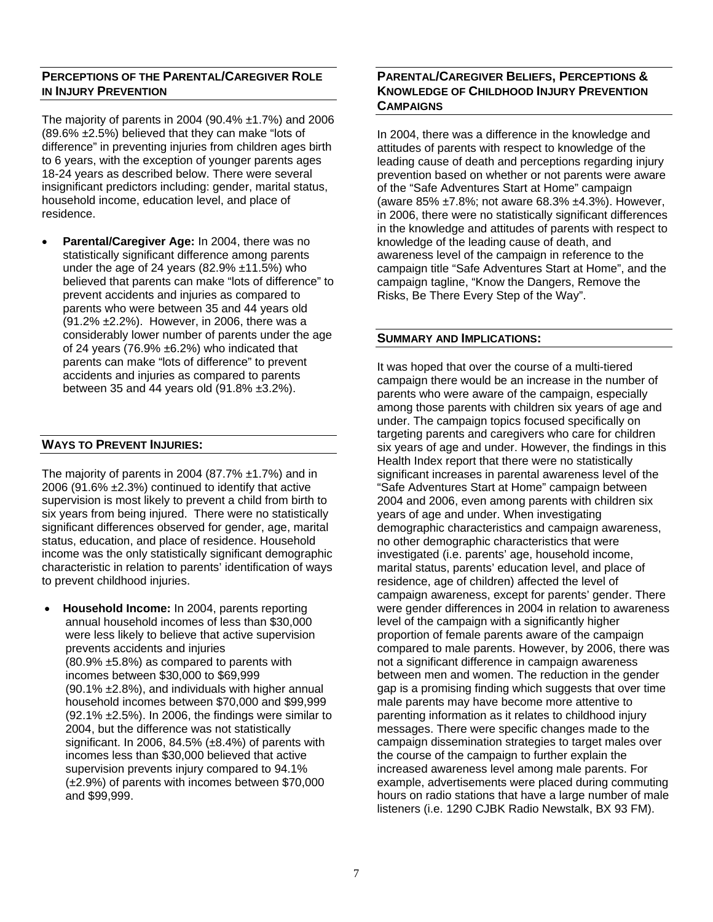# **PERCEPTIONS OF THE PARENTAL/CAREGIVER ROLE IN INJURY PREVENTION**

The majority of parents in 2004 (90.4%  $\pm$ 1.7%) and 2006 (89.6% ±2.5%) believed that they can make "lots of difference" in preventing injuries from children ages birth to 6 years, with the exception of younger parents ages 18-24 years as described below. There were several insignificant predictors including: gender, marital status, household income, education level, and place of residence.

• **Parental/Caregiver Age:** In 2004, there was no statistically significant difference among parents under the age of 24 years (82.9% ±11.5%) who believed that parents can make "lots of difference" to prevent accidents and injuries as compared to parents who were between 35 and 44 years old (91.2% ±2.2%). However, in 2006, there was a considerably lower number of parents under the age of 24 years (76.9%  $\pm$ 6.2%) who indicated that parents can make "lots of difference" to prevent accidents and injuries as compared to parents between 35 and 44 years old  $(91.8\% \pm 3.2\%)$ .

# **WAYS TO PREVENT INJURIES:**

The majority of parents in 2004 (87.7%  $\pm$ 1.7%) and in 2006 (91.6% ±2.3%) continued to identify that active supervision is most likely to prevent a child from birth to six years from being injured. There were no statistically significant differences observed for gender, age, marital status, education, and place of residence. Household income was the only statistically significant demographic characteristic in relation to parents' identification of ways to prevent childhood injuries.

• **Household Income:** In 2004, parents reporting annual household incomes of less than \$30,000 were less likely to believe that active supervision prevents accidents and injuries (80.9% ±5.8%) as compared to parents with incomes between \$30,000 to \$69,999 (90.1% ±2.8%), and individuals with higher annual household incomes between \$70,000 and \$99,999  $(92.1\% +2.5\%)$ . In 2006, the findings were similar to 2004, but the difference was not statistically significant. In 2006, 84.5% (±8.4%) of parents with incomes less than \$30,000 believed that active supervision prevents injury compared to 94.1% (±2.9%) of parents with incomes between \$70,000 and \$99,999.

# **PARENTAL/CAREGIVER BELIEFS, PERCEPTIONS & KNOWLEDGE OF CHILDHOOD INJURY PREVENTION CAMPAIGNS**

In 2004, there was a difference in the knowledge and attitudes of parents with respect to knowledge of the leading cause of death and perceptions regarding injury prevention based on whether or not parents were aware of the "Safe Adventures Start at Home" campaign (aware 85% ±7.8%; not aware 68.3% ±4.3%). However, in 2006, there were no statistically significant differences in the knowledge and attitudes of parents with respect to knowledge of the leading cause of death, and awareness level of the campaign in reference to the campaign title "Safe Adventures Start at Home", and the campaign tagline, "Know the Dangers, Remove the Risks, Be There Every Step of the Way".

### **SUMMARY AND IMPLICATIONS:**

It was hoped that over the course of a multi-tiered campaign there would be an increase in the number of parents who were aware of the campaign, especially among those parents with children six years of age and under. The campaign topics focused specifically on targeting parents and caregivers who care for children six years of age and under. However, the findings in this Health Index report that there were no statistically significant increases in parental awareness level of the "Safe Adventures Start at Home" campaign between 2004 and 2006, even among parents with children six years of age and under. When investigating demographic characteristics and campaign awareness, no other demographic characteristics that were investigated (i.e. parents' age, household income, marital status, parents' education level, and place of residence, age of children) affected the level of campaign awareness, except for parents' gender. There were gender differences in 2004 in relation to awareness level of the campaign with a significantly higher proportion of female parents aware of the campaign compared to male parents. However, by 2006, there was not a significant difference in campaign awareness between men and women. The reduction in the gender gap is a promising finding which suggests that over time male parents may have become more attentive to parenting information as it relates to childhood injury messages. There were specific changes made to the campaign dissemination strategies to target males over the course of the campaign to further explain the increased awareness level among male parents. For example, advertisements were placed during commuting hours on radio stations that have a large number of male listeners (i.e. 1290 CJBK Radio Newstalk, BX 93 FM).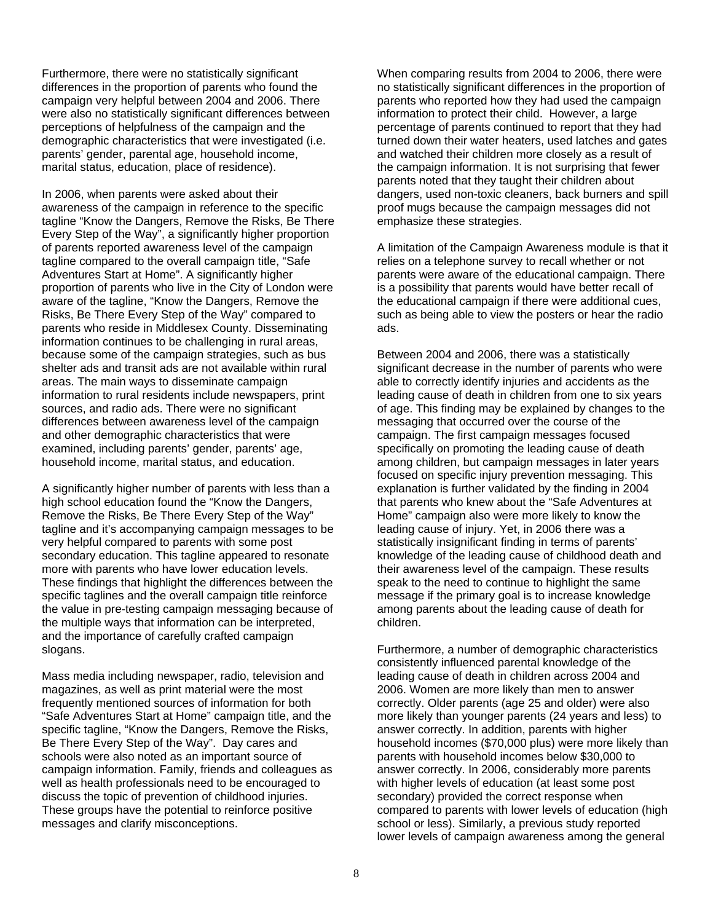Furthermore, there were no statistically significant differences in the proportion of parents who found the campaign very helpful between 2004 and 2006. There were also no statistically significant differences between perceptions of helpfulness of the campaign and the demographic characteristics that were investigated (i.e. parents' gender, parental age, household income, marital status, education, place of residence).

In 2006, when parents were asked about their awareness of the campaign in reference to the specific tagline "Know the Dangers, Remove the Risks, Be There Every Step of the Way", a significantly higher proportion of parents reported awareness level of the campaign tagline compared to the overall campaign title, "Safe Adventures Start at Home". A significantly higher proportion of parents who live in the City of London were aware of the tagline, "Know the Dangers, Remove the Risks, Be There Every Step of the Way" compared to parents who reside in Middlesex County. Disseminating information continues to be challenging in rural areas, because some of the campaign strategies, such as bus shelter ads and transit ads are not available within rural areas. The main ways to disseminate campaign information to rural residents include newspapers, print sources, and radio ads. There were no significant differences between awareness level of the campaign and other demographic characteristics that were examined, including parents' gender, parents' age, household income, marital status, and education.

A significantly higher number of parents with less than a high school education found the "Know the Dangers, Remove the Risks, Be There Every Step of the Way" tagline and it's accompanying campaign messages to be very helpful compared to parents with some post secondary education. This tagline appeared to resonate more with parents who have lower education levels. These findings that highlight the differences between the specific taglines and the overall campaign title reinforce the value in pre-testing campaign messaging because of the multiple ways that information can be interpreted, and the importance of carefully crafted campaign slogans.

Mass media including newspaper, radio, television and magazines, as well as print material were the most frequently mentioned sources of information for both "Safe Adventures Start at Home" campaign title, and the specific tagline, "Know the Dangers, Remove the Risks, Be There Every Step of the Way". Day cares and schools were also noted as an important source of campaign information. Family, friends and colleagues as well as health professionals need to be encouraged to discuss the topic of prevention of childhood injuries. These groups have the potential to reinforce positive messages and clarify misconceptions.

When comparing results from 2004 to 2006, there were no statistically significant differences in the proportion of parents who reported how they had used the campaign information to protect their child. However, a large percentage of parents continued to report that they had turned down their water heaters, used latches and gates and watched their children more closely as a result of the campaign information. It is not surprising that fewer parents noted that they taught their children about dangers, used non-toxic cleaners, back burners and spill proof mugs because the campaign messages did not emphasize these strategies.

A limitation of the Campaign Awareness module is that it relies on a telephone survey to recall whether or not parents were aware of the educational campaign. There is a possibility that parents would have better recall of the educational campaign if there were additional cues, such as being able to view the posters or hear the radio ads.

Between 2004 and 2006, there was a statistically significant decrease in the number of parents who were able to correctly identify injuries and accidents as the leading cause of death in children from one to six years of age. This finding may be explained by changes to the messaging that occurred over the course of the campaign. The first campaign messages focused specifically on promoting the leading cause of death among children, but campaign messages in later years focused on specific injury prevention messaging. This explanation is further validated by the finding in 2004 that parents who knew about the "Safe Adventures at Home" campaign also were more likely to know the leading cause of injury. Yet, in 2006 there was a statistically insignificant finding in terms of parents' knowledge of the leading cause of childhood death and their awareness level of the campaign. These results speak to the need to continue to highlight the same message if the primary goal is to increase knowledge among parents about the leading cause of death for children.

Furthermore, a number of demographic characteristics consistently influenced parental knowledge of the leading cause of death in children across 2004 and 2006. Women are more likely than men to answer correctly. Older parents (age 25 and older) were also more likely than younger parents (24 years and less) to answer correctly. In addition, parents with higher household incomes (\$70,000 plus) were more likely than parents with household incomes below \$30,000 to answer correctly. In 2006, considerably more parents with higher levels of education (at least some post secondary) provided the correct response when compared to parents with lower levels of education (high school or less). Similarly, a previous study reported lower levels of campaign awareness among the general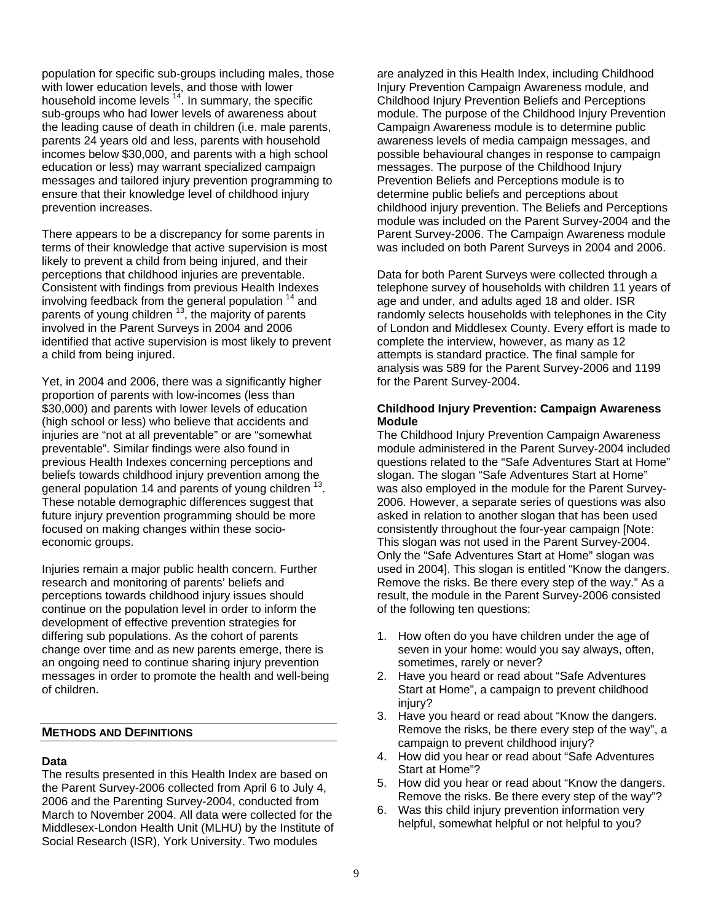population for specific sub-groups including males, those with lower education levels, and those with lower household income levels  $14$ . In summary, the specific sub-groups who had lower levels of awareness about the leading cause of death in children (i.e. male parents, parents 24 years old and less, parents with household incomes below \$30,000, and parents with a high school education or less) may warrant specialized campaign messages and tailored injury prevention programming to ensure that their knowledge level of childhood injury prevention increases.

There appears to be a discrepancy for some parents in terms of their knowledge that active supervision is most likely to prevent a child from being injured, and their perceptions that childhood injuries are preventable. Consistent with findings from previous Health Indexes involving feedback from the general population  $14$  and parents of young children <sup>13</sup>, the majority of parents involved in the Parent Surveys in 2004 and 2006 identified that active supervision is most likely to prevent a child from being injured.

Yet, in 2004 and 2006, there was a significantly higher proportion of parents with low-incomes (less than \$30,000) and parents with lower levels of education (high school or less) who believe that accidents and injuries are "not at all preventable" or are "somewhat preventable". Similar findings were also found in previous Health Indexes concerning perceptions and beliefs towards childhood injury prevention among the general population 14 and parents of young children <sup>13</sup>. These notable demographic differences suggest that future injury prevention programming should be more focused on making changes within these socioeconomic groups.

Injuries remain a major public health concern. Further research and monitoring of parents' beliefs and perceptions towards childhood injury issues should continue on the population level in order to inform the development of effective prevention strategies for differing sub populations. As the cohort of parents change over time and as new parents emerge, there is an ongoing need to continue sharing injury prevention messages in order to promote the health and well-being of children.

### **METHODS AND DEFINITIONS**

### **Data**

The results presented in this Health Index are based on the Parent Survey-2006 collected from April 6 to July 4, 2006 and the Parenting Survey-2004, conducted from March to November 2004. All data were collected for the Middlesex-London Health Unit (MLHU) by the Institute of Social Research (ISR), York University. Two modules

are analyzed in this Health Index, including Childhood Injury Prevention Campaign Awareness module, and Childhood Injury Prevention Beliefs and Perceptions module. The purpose of the Childhood Injury Prevention Campaign Awareness module is to determine public awareness levels of media campaign messages, and possible behavioural changes in response to campaign messages. The purpose of the Childhood Injury Prevention Beliefs and Perceptions module is to determine public beliefs and perceptions about childhood injury prevention. The Beliefs and Perceptions module was included on the Parent Survey-2004 and the Parent Survey-2006. The Campaign Awareness module was included on both Parent Surveys in 2004 and 2006.

Data for both Parent Surveys were collected through a telephone survey of households with children 11 years of age and under, and adults aged 18 and older. ISR randomly selects households with telephones in the City of London and Middlesex County. Every effort is made to complete the interview, however, as many as 12 attempts is standard practice. The final sample for analysis was 589 for the Parent Survey-2006 and 1199 for the Parent Survey-2004.

### **Childhood Injury Prevention: Campaign Awareness Module**

The Childhood Injury Prevention Campaign Awareness module administered in the Parent Survey-2004 included questions related to the "Safe Adventures Start at Home" slogan. The slogan "Safe Adventures Start at Home" was also employed in the module for the Parent Survey-2006. However, a separate series of questions was also asked in relation to another slogan that has been used consistently throughout the four-year campaign [Note: This slogan was not used in the Parent Survey-2004. Only the "Safe Adventures Start at Home" slogan was used in 2004]. This slogan is entitled "Know the dangers. Remove the risks. Be there every step of the way." As a result, the module in the Parent Survey-2006 consisted of the following ten questions:

- 1. How often do you have children under the age of seven in your home: would you say always, often, sometimes, rarely or never?
- 2. Have you heard or read about "Safe Adventures Start at Home", a campaign to prevent childhood injury?
- 3. Have you heard or read about "Know the dangers. Remove the risks, be there every step of the way", a campaign to prevent childhood injury?
- 4. How did you hear or read about "Safe Adventures Start at Home"?
- 5. How did you hear or read about "Know the dangers. Remove the risks. Be there every step of the way"?
- 6. Was this child injury prevention information very helpful, somewhat helpful or not helpful to you?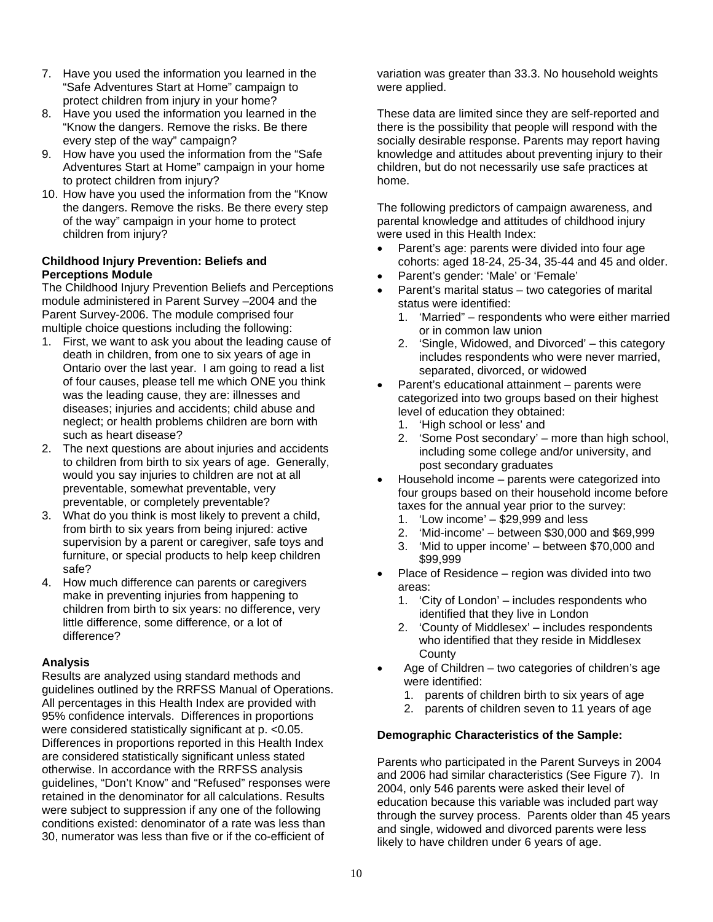- 7. Have you used the information you learned in the "Safe Adventures Start at Home" campaign to protect children from injury in your home?
- 8. Have you used the information you learned in the "Know the dangers. Remove the risks. Be there every step of the way" campaign?
- 9. How have you used the information from the "Safe Adventures Start at Home" campaign in your home to protect children from injury?
- 10. How have you used the information from the "Know the dangers. Remove the risks. Be there every step of the way" campaign in your home to protect children from injury?

### **Childhood Injury Prevention: Beliefs and Perceptions Module**

The Childhood Injury Prevention Beliefs and Perceptions module administered in Parent Survey –2004 and the Parent Survey-2006. The module comprised four multiple choice questions including the following:

- 1. First, we want to ask you about the leading cause of death in children, from one to six years of age in Ontario over the last year. I am going to read a list of four causes, please tell me which ONE you think was the leading cause, they are: illnesses and diseases; injuries and accidents; child abuse and neglect; or health problems children are born with such as heart disease?
- 2. The next questions are about injuries and accidents to children from birth to six years of age. Generally, would you say injuries to children are not at all preventable, somewhat preventable, very preventable, or completely preventable?
- 3. What do you think is most likely to prevent a child, from birth to six years from being injured: active supervision by a parent or caregiver, safe toys and furniture, or special products to help keep children safe?
- 4. How much difference can parents or caregivers make in preventing injuries from happening to children from birth to six years: no difference, very little difference, some difference, or a lot of difference?

# **Analysis**

Results are analyzed using standard methods and guidelines outlined by the RRFSS Manual of Operations. All percentages in this Health Index are provided with 95% confidence intervals. Differences in proportions were considered statistically significant at p. <0.05. Differences in proportions reported in this Health Index are considered statistically significant unless stated otherwise. In accordance with the RRFSS analysis guidelines, "Don't Know" and "Refused" responses were retained in the denominator for all calculations. Results were subject to suppression if any one of the following conditions existed: denominator of a rate was less than 30, numerator was less than five or if the co-efficient of

variation was greater than 33.3. No household weights were applied.

These data are limited since they are self-reported and there is the possibility that people will respond with the socially desirable response. Parents may report having knowledge and attitudes about preventing injury to their children, but do not necessarily use safe practices at home.

The following predictors of campaign awareness, and parental knowledge and attitudes of childhood injury were used in this Health Index:

- Parent's age: parents were divided into four age cohorts: aged 18-24, 25-34, 35-44 and 45 and older.
- Parent's gender: 'Male' or 'Female'
- Parent's marital status two categories of marital status were identified:
	- 1. 'Married" respondents who were either married or in common law union
	- 2. 'Single, Widowed, and Divorced' this category includes respondents who were never married, separated, divorced, or widowed
- Parent's educational attainment parents were categorized into two groups based on their highest level of education they obtained:
	- 1. 'High school or less' and
	- 2. 'Some Post secondary' more than high school, including some college and/or university, and post secondary graduates
- Household income parents were categorized into four groups based on their household income before taxes for the annual year prior to the survey:
	- 1. 'Low income' \$29,999 and less
	- 2. 'Mid-income' between \$30,000 and \$69,999
	- 3. 'Mid to upper income' between \$70,000 and \$99,999
- Place of Residence region was divided into two areas:
	- 1. 'City of London' includes respondents who identified that they live in London
	- 2. 'County of Middlesex' includes respondents who identified that they reside in Middlesex **County**
- Age of Children two categories of children's age were identified:
	- 1. parents of children birth to six years of age
	- 2. parents of children seven to 11 years of age

# **Demographic Characteristics of the Sample:**

Parents who participated in the Parent Surveys in 2004 and 2006 had similar characteristics (See Figure 7). In 2004, only 546 parents were asked their level of education because this variable was included part way through the survey process. Parents older than 45 years and single, widowed and divorced parents were less likely to have children under 6 years of age.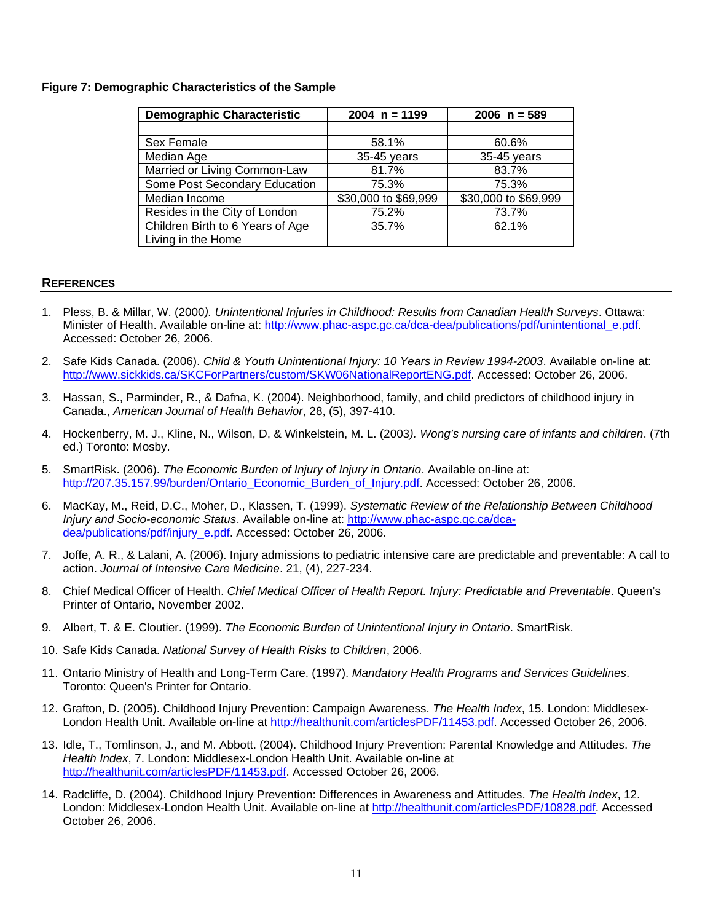### **Figure 7: Demographic Characteristics of the Sample**

| <b>Demographic Characteristic</b> | $2004 n = 1199$      | $2006 n = 589$       |
|-----------------------------------|----------------------|----------------------|
|                                   |                      |                      |
| Sex Female                        | 58.1%                | 60.6%                |
| Median Age                        | 35-45 years          | 35-45 years          |
| Married or Living Common-Law      | 81.7%                | 83.7%                |
| Some Post Secondary Education     | 75.3%                | 75.3%                |
| Median Income                     | \$30,000 to \$69,999 | \$30,000 to \$69,999 |
| Resides in the City of London     | 75.2%                | 73.7%                |
| Children Birth to 6 Years of Age  | 35.7%                | 62.1%                |
| Living in the Home                |                      |                      |

### **REFERENCES**

- 1. Pless, B. & Millar, W. (2000*). Unintentional Injuries in Childhood: Results from Canadian Health Surveys*. Ottawa: Minister of Health. Available on-line at: http://www.phac-aspc.gc.ca/dca-dea/publications/pdf/unintentional\_e.pdf. Accessed: October 26, 2006.
- 2. Safe Kids Canada. (2006). *Child & Youth Unintentional Injury: 10 Years in Review 1994-2003*. Available on-line at: http://www.sickkids.ca/SKCForPartners/custom/SKW06NationalReportENG.pdf. Accessed: October 26, 2006.
- 3. Hassan, S., Parminder, R., & Dafna, K. (2004). Neighborhood, family, and child predictors of childhood injury in Canada., *American Journal of Health Behavior*, 28, (5), 397-410.
- 4. Hockenberry, M. J., Kline, N., Wilson, D, & Winkelstein, M. L. (2003*). Wong's nursing care of infants and children*. (7th ed.) Toronto: Mosby.
- 5. SmartRisk. (2006). *The Economic Burden of Injury of Injury in Ontario*. Available on-line at: http://207.35.157.99/burden/Ontario\_Economic\_Burden\_of\_Injury.pdf. Accessed: October 26, 2006.
- 6. MacKay, M., Reid, D.C., Moher, D., Klassen, T. (1999). *Systematic Review of the Relationship Between Childhood Injury and Socio-economic Status*. Available on-line at: http://www.phac-aspc.gc.ca/dcadea/publications/pdf/injury\_e.pdf. Accessed: October 26, 2006.
- 7. Joffe, A. R., & Lalani, A. (2006). Injury admissions to pediatric intensive care are predictable and preventable: A call to action. *Journal of Intensive Care Medicine*. 21, (4), 227-234.
- 8. Chief Medical Officer of Health. *Chief Medical Officer of Health Report. Injury: Predictable and Preventable*. Queen's Printer of Ontario, November 2002.
- 9. Albert, T. & E. Cloutier. (1999). *The Economic Burden of Unintentional Injury in Ontario*. SmartRisk.
- 10. Safe Kids Canada. *National Survey of Health Risks to Children*, 2006.
- 11. Ontario Ministry of Health and Long-Term Care. (1997). *Mandatory Health Programs and Services Guidelines*. Toronto: Queen's Printer for Ontario.
- 12. Grafton, D. (2005). Childhood Injury Prevention: Campaign Awareness. *The Health Index*, 15. London: Middlesex-London Health Unit. Available on-line at http://healthunit.com/articlesPDF/11453.pdf. Accessed October 26, 2006.
- 13. Idle, T., Tomlinson, J., and M. Abbott. (2004). Childhood Injury Prevention: Parental Knowledge and Attitudes. *The Health Index*, 7. London: Middlesex-London Health Unit. Available on-line at http://healthunit.com/articlesPDF/11453.pdf. Accessed October 26, 2006.
- 14. Radcliffe, D. (2004). Childhood Injury Prevention: Differences in Awareness and Attitudes. *The Health Index*, 12. London: Middlesex-London Health Unit. Available on-line at http://healthunit.com/articlesPDF/10828.pdf. Accessed October 26, 2006.